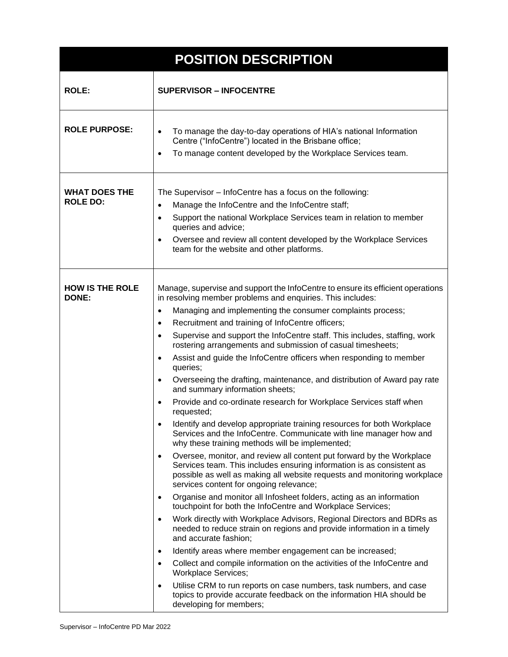| <b>POSITION DESCRIPTION</b>             |                                                                                                                                                                                                                                                                                                                                                                                                                                                                                                                                                                                                                                                                                                                                                                                                                                                                                                                                                                                                                                                                                                                                                                                                                                                                                                                                                                                                                                                                                                                                                                                                                                                                                                                                                                                                                                                                                                                                                                                                                       |
|-----------------------------------------|-----------------------------------------------------------------------------------------------------------------------------------------------------------------------------------------------------------------------------------------------------------------------------------------------------------------------------------------------------------------------------------------------------------------------------------------------------------------------------------------------------------------------------------------------------------------------------------------------------------------------------------------------------------------------------------------------------------------------------------------------------------------------------------------------------------------------------------------------------------------------------------------------------------------------------------------------------------------------------------------------------------------------------------------------------------------------------------------------------------------------------------------------------------------------------------------------------------------------------------------------------------------------------------------------------------------------------------------------------------------------------------------------------------------------------------------------------------------------------------------------------------------------------------------------------------------------------------------------------------------------------------------------------------------------------------------------------------------------------------------------------------------------------------------------------------------------------------------------------------------------------------------------------------------------------------------------------------------------------------------------------------------------|
| <b>ROLE:</b>                            | <b>SUPERVISOR - INFOCENTRE</b>                                                                                                                                                                                                                                                                                                                                                                                                                                                                                                                                                                                                                                                                                                                                                                                                                                                                                                                                                                                                                                                                                                                                                                                                                                                                                                                                                                                                                                                                                                                                                                                                                                                                                                                                                                                                                                                                                                                                                                                        |
| <b>ROLE PURPOSE:</b>                    | To manage the day-to-day operations of HIA's national Information<br>$\bullet$<br>Centre ("InfoCentre") located in the Brisbane office;<br>To manage content developed by the Workplace Services team.<br>$\bullet$                                                                                                                                                                                                                                                                                                                                                                                                                                                                                                                                                                                                                                                                                                                                                                                                                                                                                                                                                                                                                                                                                                                                                                                                                                                                                                                                                                                                                                                                                                                                                                                                                                                                                                                                                                                                   |
| <b>WHAT DOES THE</b><br><b>ROLE DO:</b> | The Supervisor - InfoCentre has a focus on the following:<br>Manage the InfoCentre and the InfoCentre staff;<br>$\bullet$<br>Support the national Workplace Services team in relation to member<br>$\bullet$<br>queries and advice;<br>Oversee and review all content developed by the Workplace Services<br>$\bullet$<br>team for the website and other platforms.                                                                                                                                                                                                                                                                                                                                                                                                                                                                                                                                                                                                                                                                                                                                                                                                                                                                                                                                                                                                                                                                                                                                                                                                                                                                                                                                                                                                                                                                                                                                                                                                                                                   |
| <b>HOW IS THE ROLE</b><br><b>DONE:</b>  | Manage, supervise and support the InfoCentre to ensure its efficient operations<br>in resolving member problems and enquiries. This includes:<br>Managing and implementing the consumer complaints process;<br>$\bullet$<br>Recruitment and training of InfoCentre officers;<br>$\bullet$<br>Supervise and support the InfoCentre staff. This includes, staffing, work<br>$\bullet$<br>rostering arrangements and submission of casual timesheets;<br>Assist and guide the InfoCentre officers when responding to member<br>$\bullet$<br>queries;<br>Overseeing the drafting, maintenance, and distribution of Award pay rate<br>$\bullet$<br>and summary information sheets;<br>Provide and co-ordinate research for Workplace Services staff when<br>$\bullet$<br>requested;<br>Identify and develop appropriate training resources for both Workplace<br>$\bullet$<br>Services and the InfoCentre. Communicate with line manager how and<br>why these training methods will be implemented;<br>Oversee, monitor, and review all content put forward by the Workplace<br>$\bullet$<br>Services team. This includes ensuring information is as consistent as<br>possible as well as making all website requests and monitoring workplace<br>services content for ongoing relevance;<br>Organise and monitor all Infosheet folders, acting as an information<br>$\bullet$<br>touchpoint for both the InfoCentre and Workplace Services;<br>Work directly with Workplace Advisors, Regional Directors and BDRs as<br>$\bullet$<br>needed to reduce strain on regions and provide information in a timely<br>and accurate fashion;<br>Identify areas where member engagement can be increased;<br>$\bullet$<br>Collect and compile information on the activities of the InfoCentre and<br>$\bullet$<br><b>Workplace Services;</b><br>Utilise CRM to run reports on case numbers, task numbers, and case<br>$\bullet$<br>topics to provide accurate feedback on the information HIA should be<br>developing for members; |